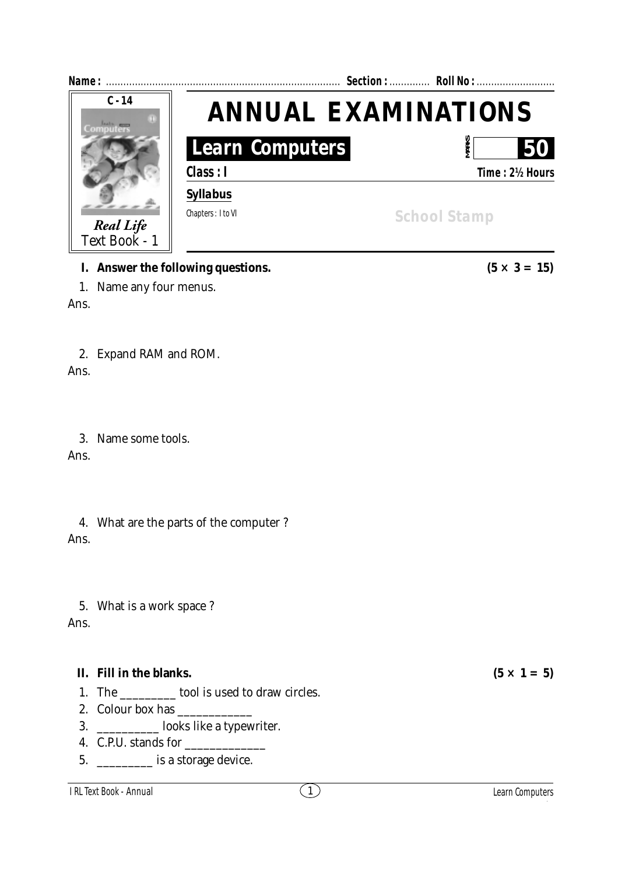

### **I.** Answer the following questions.  $(5 \times 3 = 15)$

1. Name any four menus.

Ans.

## 2. Expand RAM and ROM.

Ans.

## 3. Name some tools.

Ans.

## 4. What are the parts of the computer ? Ans.

5. What is a work space ?

Ans.

# **II.** Fill in the blanks.  $(5 \times 1 = 5)$

- 1. The tool is used to draw circles.
- 2. Colour box has
- 3. \_\_\_\_\_\_\_\_\_\_ looks like a typewriter.
- 4. C.P.U. stands for
- 5. **is a storage device.**

### I RL Text Book - **Annual** 1 RL Text Book - **Annual**